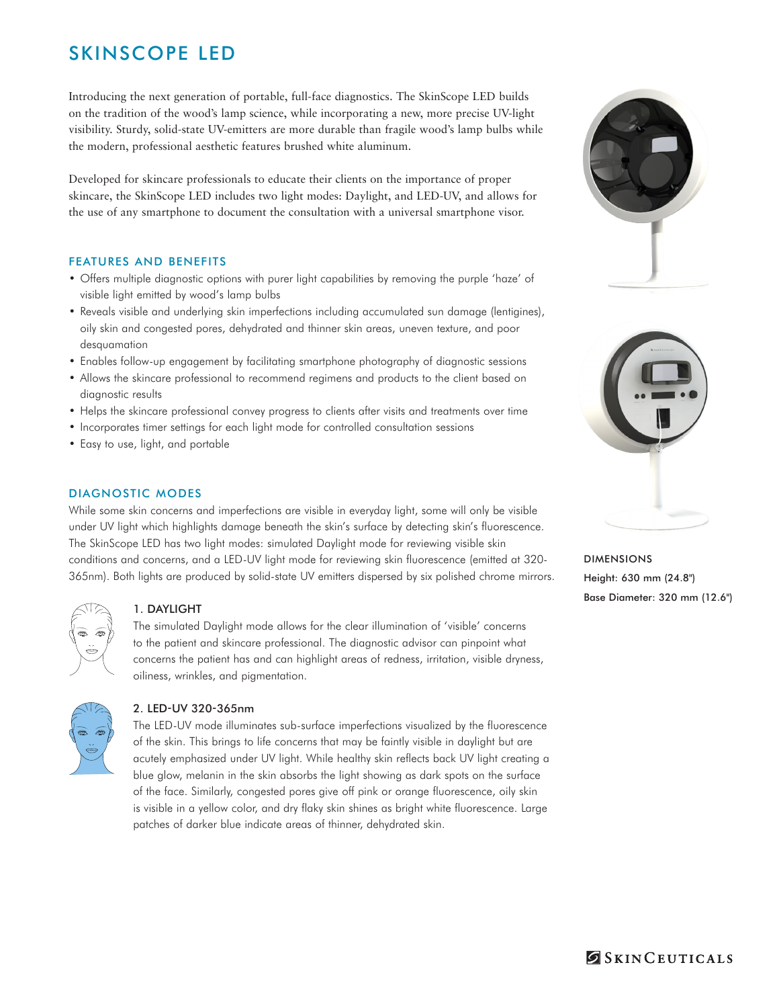# SKINSCOPE LED

Introducing the next generation of portable, full-face diagnostics. The SkinScope LED builds on the tradition of the wood's lamp science, while incorporating a new, more precise UV-light visibility. Sturdy, solid-state UV-emitters are more durable than fragile wood's lamp bulbs while the modern, professional aesthetic features brushed white aluminum.

Developed for skincare professionals to educate their clients on the importance of proper skincare, the SkinScope LED includes two light modes: Daylight, and LED-UV, and allows for the use of any smartphone to document the consultation with a universal smartphone visor.

## FEATURES AND BENEFITS

- • Offers multiple diagnostic options with purer light capabilities by removing the purple 'haze' of visible light emitted by wood's lamp bulbs
- Reveals visible and underlying skin imperfections including accumulated sun damage (lentigines), oily skin and congested pores, dehydrated and thinner skin areas, uneven texture, and poor desquamation
- • Enables follow-up engagement by facilitating smartphone photography of diagnostic sessions
- • Allows the skincare professional to recommend regimens and products to the client based on diagnostic results
- Helps the skincare professional convey progress to clients after visits and treatments over time
- Incorporates timer settings for each light mode for controlled consultation sessions
- Easy to use, light, and portable

## DIAGNOSTIC MODES

While some skin concerns and imperfections are visible in everyday light, some will only be visible under UV light which highlights damage beneath the skin's surface by detecting skin's fluorescence. The SkinScope LED has two light modes: simulated Daylight mode for reviewing visible skin conditions and concerns, and a LED-UV light mode for reviewing skin fluorescence (emitted at 320- 365nm). Both lights are produced by solid-state UV emitters dispersed by six polished chrome mirrors.



## 1. DAYLIGHT

The simulated Daylight mode allows for the clear illumination of 'visible' concerns to the patient and skincare professional. The diagnostic advisor can pinpoint what concerns the patient has and can highlight areas of redness, irritation, visible dryness, oiliness, wrinkles, and pigmentation.



## 2. LED-UV 320-365nm

The LED-UV mode illuminates sub-surface imperfections visualized by the fluorescence of the skin. This brings to life concerns that may be faintly visible in daylight but are acutely emphasized under UV light. While healthy skin reflects back UV light creating a blue glow, melanin in the skin absorbs the light showing as dark spots on the surface of the face. Similarly, congested pores give off pink or orange fluorescence, oily skin is visible in a yellow color, and dry flaky skin shines as bright white fluorescence. Large patches of darker blue indicate areas of thinner, dehydrated skin.





DIMENSIONS Height: 630 mm (24.8") Base Diameter: 320 mm (12.6")